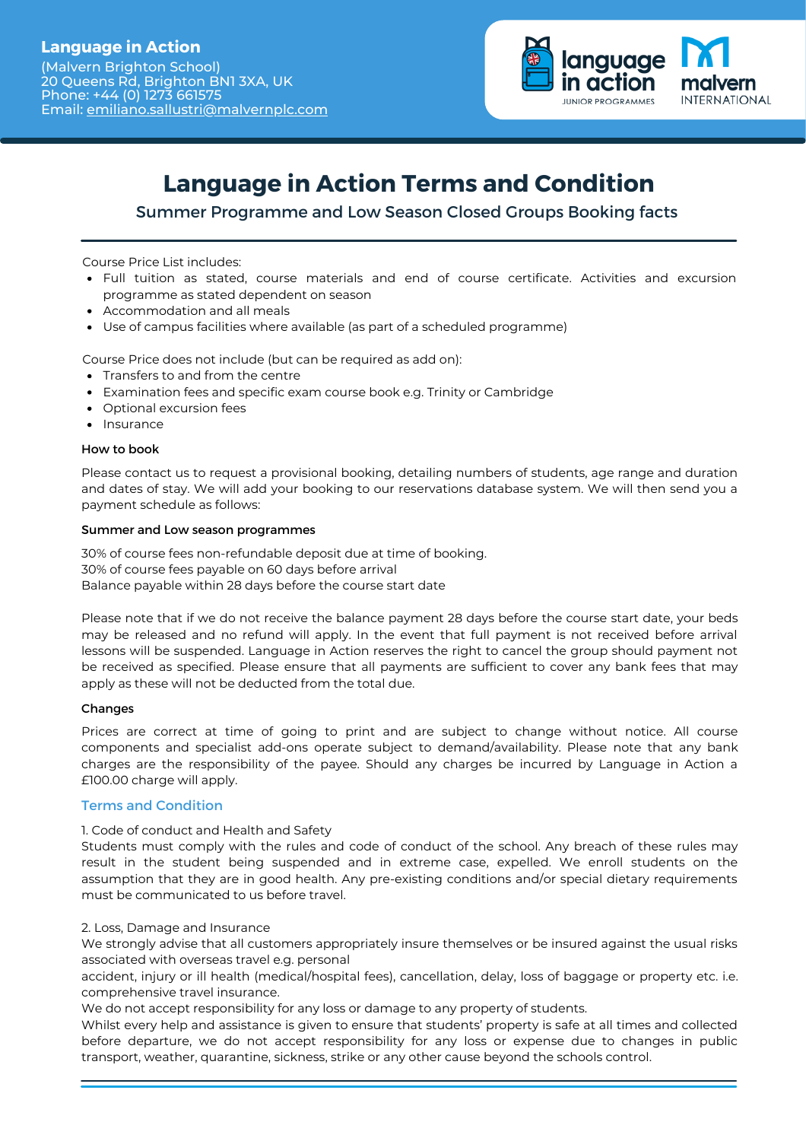Phone: +44 (0) 1273 661575

anguage **INTERNATIONAL JUNIOR PROGRAMMES** 

# **Language in Action Terms and Condition**

Summer Programme and Low Season Closed Groups Booking facts

Course Price List includes:

- Full tuition as stated, course materials and end of course certificate. Activities and excursion programme as stated dependent on season
- Accommodation and all meals

Email: [emiliano.sallustri@malvernplc.com](mailto:emiliano.sallustri@malvernplc.com)

Use of campus facilities where available (as part of a scheduled programme)

Course Price does not include (but can be required as add on):

- Transfers to and from the centre
- Examination fees and specific exam course book e.g. Trinity or Cambridge
- Optional excursion fees
- Insurance

# How to book

Please contact us to request a provisional booking, detailing numbers of students, age range and duration and dates of stay. We will add your booking to our reservations database system. We will then send you a payment schedule as follows:

# Summer and Low season programmes

30% of course fees non-refundable deposit due at time of booking. 30% of course fees payable on 60 days before arrival Balance payable within 28 days before the course start date

Please note that if we do not receive the balance payment 28 days before the course start date, your beds may be released and no refund will apply. In the event that full payment is not received before arrival lessons will be suspended. Language in Action reserves the right to cancel the group should payment not be received as specified. Please ensure that all payments are sufficient to cover any bank fees that may apply as these will not be deducted from the total due.

# Changes

Prices are correct at time of going to print and are subject to change without notice. All course components and specialist add-ons operate subject to demand/availability. Please note that any bank charges are the responsibility of the payee. Should any charges be incurred by Language in Action a £100.00 charge will apply.

# Terms and Condition

# 1. Code of conduct and Health and Safety

Students must comply with the rules and code of conduct of the school. Any breach of these rules may result in the student being suspended and in extreme case, expelled. We enroll students on the assumption that they are in good health. Any pre-existing conditions and/or special dietary requirements must be communicated to us before travel.

# 2. Loss, Damage and Insurance

We strongly advise that all customers appropriately insure themselves or be insured against the usual risks associated with overseas travel e.g. personal

accident, injury or ill health (medical/hospital fees), cancellation, delay, loss of baggage or property etc. i.e. comprehensive travel insurance.

We do not accept responsibility for any loss or damage to any property of students.

Whilst every help and assistance is given to ensure that students' property is safe at all times and collected before departure, we do not accept responsibility for any loss or expense due to changes in public transport, weather, quarantine, sickness, strike or any other cause beyond the schools control.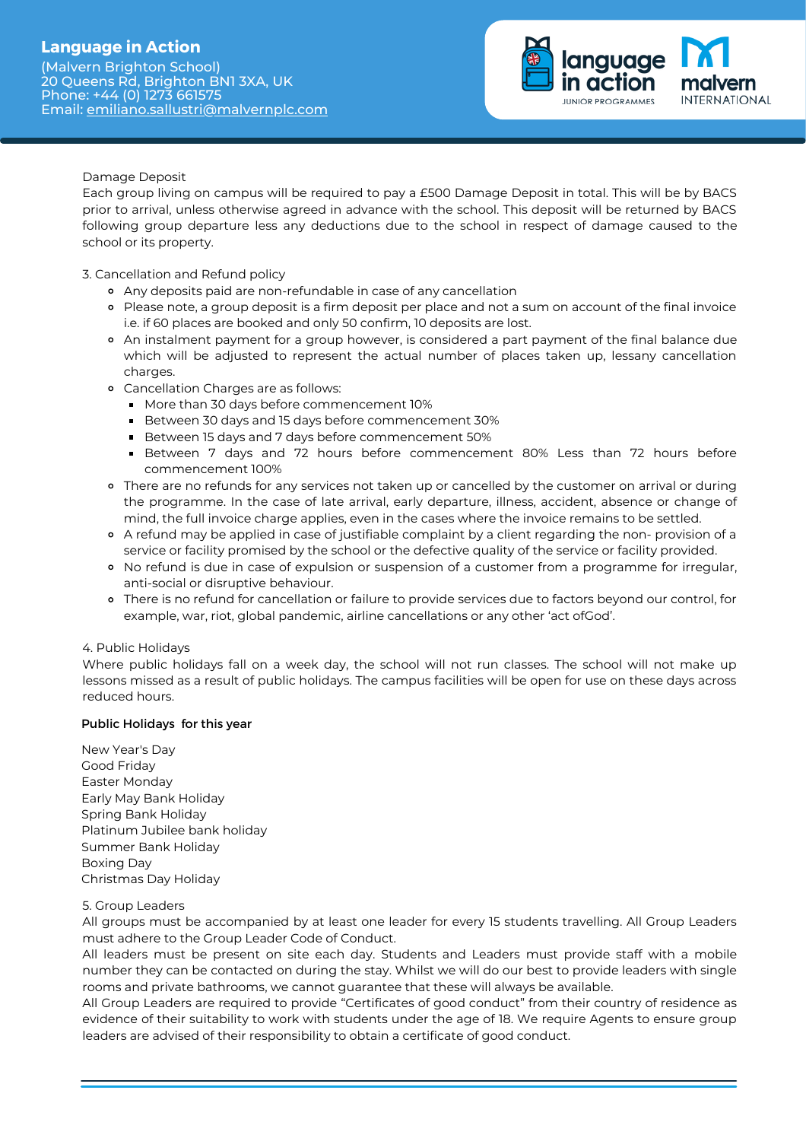# **Language in Action**

(Malvern Brighton School) 20 Queens Rd, Brighton BN1 3XA, UK Phone: +44 (0) 1273 661575 Email: [emiliano.sallustri@malvernplc.com](mailto:emiliano.sallustri@malvernplc.com)



# Damage Deposit

Each group living on campus will be required to pay a £500 Damage Deposit in total. This will be by BACS prior to arrival, unless otherwise agreed in advance with the school. This deposit will be returned by BACS following group departure less any deductions due to the school in respect of damage caused to the school or its property.

3. Cancellation and Refund policy

- Any deposits paid are non-refundable in case of any cancellation
- Please note, a group deposit is a firm deposit per place and not a sum on account of the final invoice i.e. if 60 places are booked and only 50 confirm, 10 deposits are lost.
- An instalment payment for a group however, is considered a part payment of the final balance due which will be adjusted to represent the actual number of places taken up, lessany cancellation charges.
- Cancellation Charges are as follows:
	- More than 30 days before commencement 10%
	- Between 30 days and 15 days before commencement 30%
	- Between 15 days and 7 days before commencement 50%
	- Between 7 days and 72 hours before commencement 80% Less than 72 hours before commencement 100%
- There are no refunds for any services not taken up or cancelled by the customer on arrival or during the programme. In the case of late arrival, early departure, illness, accident, absence or change of mind, the full invoice charge applies, even in the cases where the invoice remains to be settled.
- A refund may be applied in case of justifiable complaint by a client regarding the non- provision of a service or facility promised by the school or the defective quality of the service or facility provided.
- o No refund is due in case of expulsion or suspension of a customer from a programme for irregular, anti-social or disruptive behaviour.
- There is no refund for cancellation or failure to provide services due to factors beyond our control, for example, war, riot, global pandemic, airline cancellations or any other 'act ofGod'.

# 4. Public Holidays

Where public holidays fall on a week day, the school will not run classes. The school will not make up lessons missed as a result of public holidays. The campus facilities will be open for use on these days across reduced hours.

# Public Holidays for this year

New Year's Day Good Friday Easter Monday Early May Bank Holiday Spring Bank Holiday Platinum Jubilee bank holiday Summer Bank Holiday Boxing Day Christmas Day Holiday

# 5. Group Leaders

All groups must be accompanied by at least one leader for every 15 students travelling. All Group Leaders must adhere to the Group Leader Code of Conduct.

All leaders must be present on site each day. Students and Leaders must provide staff with a mobile number they can be contacted on during the stay. Whilst we will do our best to provide leaders with single rooms and private bathrooms, we cannot guarantee that these will always be available.

All Group Leaders are required to provide "Certificates of good conduct" from their country of residence as evidence of their suitability to work with students under the age of 18. We require Agents to ensure group leaders are advised of their responsibility to obtain a certificate of good conduct.